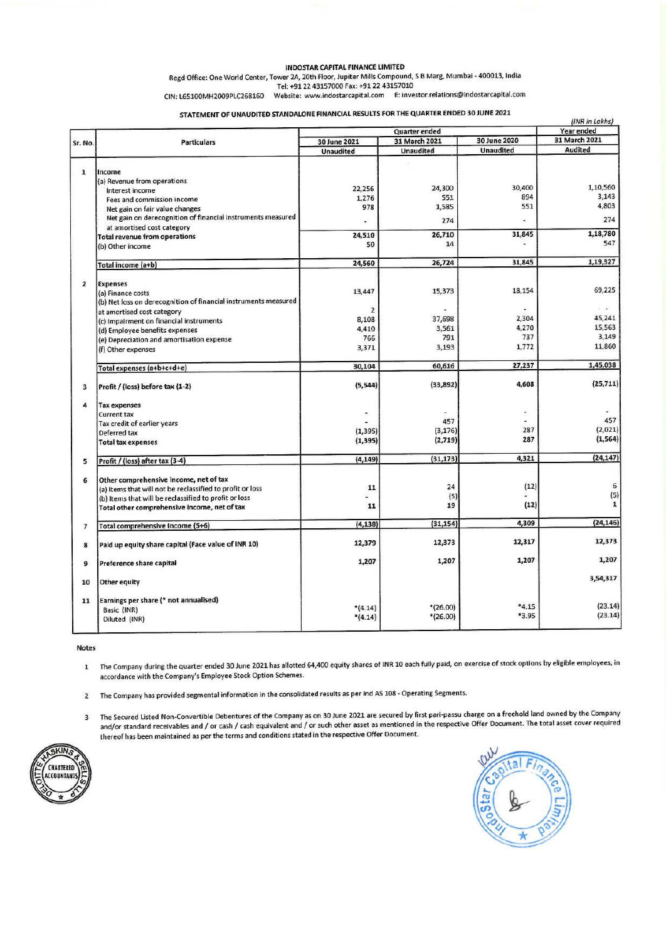#### INDOSTAR CAPITAL FINANCE LIMITED

Regd Office: One World Center, Tower 2A, 20th Floor, Jupiter Mills Compound, S 8 Marg, Mumbai - 400013, India Tel: +9122 43157000 Fax: +9122 43157010

CIN: L65100MH2009PLC268160 Website: www.indostarcapital.com E: investor.relations@indostarcapital.com

STATEMENT OF UNAUDITED STANDALONE FINANCIAL RESULTS FOR THE QUARTER ENDED 30 JUNE 2021

| Sr. No.                  | <b>Particulars</b>                                                                   | Quarter ended                 |                          |                  | (INR in Lakhs)<br>Year ended |
|--------------------------|--------------------------------------------------------------------------------------|-------------------------------|--------------------------|------------------|------------------------------|
|                          |                                                                                      | 31 March 2021<br>30 June 2021 |                          | 30 June 2020     | 31 March 2021                |
|                          |                                                                                      | <b>Unaudited</b>              | <b>Unaudited</b>         | <b>Unaudited</b> | Audited                      |
|                          |                                                                                      |                               |                          |                  |                              |
| 1                        | Income                                                                               |                               |                          |                  |                              |
|                          | (a) Revenue from operations                                                          |                               | 24,300                   | 30,400           | 1,10,560                     |
|                          | Interest income                                                                      | 22,256<br>1,276               | 551                      | 894              | 3,143                        |
|                          | Fees and commission income<br>Net gain on fair value changes                         | 978                           | 1,585                    | 551              | 4,803                        |
|                          | Net gain on derecognition of financial instruments measured                          |                               |                          |                  |                              |
|                          | at amortised cost category                                                           |                               | 274                      |                  | 274                          |
|                          | <b>Total revenue from operations</b>                                                 | 24,510                        | 26,710                   | 31,845           | 1,18,780                     |
|                          | (b) Other income                                                                     | 50                            | 14                       |                  | 547                          |
|                          | Total income (a+b)                                                                   | 24,560                        | 26,724                   | 31,845           | 1,19,327                     |
|                          |                                                                                      |                               |                          |                  |                              |
| $\overline{2}$           | <b>Expenses</b>                                                                      | 13,447                        | 15,373                   | 18.154           | 69,225                       |
|                          | (a) Finance costs<br>(b) Net loss on derecognition of financial instruments measured |                               |                          |                  |                              |
|                          | at amortised cost category                                                           | $\overline{2}$                |                          |                  | $\sim$ $\sim$                |
|                          | (c) Impairment on financial instruments                                              | 8,108                         | 37,698                   | 2,304            | 45,241                       |
|                          | (d) Employee benefits expenses                                                       | 4,410                         | 3,561                    | 4,270            | 15,563                       |
|                          | (e) Depreciation and amortisation expense                                            | 766                           | 791                      | 737              | 3,149                        |
|                          | (f) Other expenses                                                                   | 3,371                         | 3,193                    | 1,772            | 11,860                       |
|                          | Total expenses (a+b+c+d+e)                                                           | 30,104                        | 60,616                   | 27,237           | 1,45,038                     |
| $\overline{\mathbf{3}}$  | Profit / (loss) before tax (1-2)                                                     | (5, 544)                      | (33, 892)                | 4,608            | (25, 711)                    |
| $\pmb{\alpha}$           | <b>Tax expenses</b>                                                                  |                               |                          |                  |                              |
|                          | <b>Current tax</b>                                                                   | ۴                             |                          | ì,               | 457                          |
|                          | Tax credit of earlier years                                                          |                               | 457                      | 287              | (2,021)                      |
|                          | Deferred tax                                                                         | (1, 395)<br>(1, 395)          | (3, 176)<br>(2,719)      | 287              | (1, 564)                     |
|                          | <b>Total tax expenses</b>                                                            |                               |                          |                  |                              |
| 5                        | Profit / (loss) after tax (3-4)                                                      | (4, 149)                      | (31, 173)                | 4,321            | (24, 147)                    |
| 6                        | Other comprehensive income, net of tax                                               |                               |                          |                  |                              |
|                          | (a) Items that will not be reclassified to profit or loss                            | 11                            | 24                       | (12)             | 6                            |
|                          | (b) Items that will be reclassified to profit or loss                                | ε                             | (5)                      |                  | (5)                          |
|                          | Total other comprehensive income, net of tax                                         | 11                            | 19                       | (12)             | 1                            |
| $\overline{\phantom{a}}$ | Total comprehensive Income (5+6)                                                     | (4, 138)                      | (31, 154)                | 4,309            | (24, 146)                    |
| 8                        | Paid up equity share capital (Face value of INR 10)                                  | 12,379                        | 12,373                   | 12,317           | 12,373                       |
| 9                        | Preference share capital                                                             | 1,207                         | 1,207                    | 1,207            | 1,207                        |
| 10                       | Other equity                                                                         |                               |                          |                  | 3,54,317                     |
|                          |                                                                                      |                               |                          |                  |                              |
| 11                       | Earnings per share (* not annualised)                                                |                               |                          | $*4.15$          | (23.14)                      |
|                          | Basic (INR)                                                                          | $*(4.14)$<br>$*(4.14)$        | $*(26.00)$<br>$*(26.00)$ | *3.95            | (23.14)                      |
|                          | Diluted (INR)                                                                        |                               |                          |                  |                              |

Notes

1 The Company during the Quarter ended 30 June 2021 has allotted 64,400 equity shares of INR 10 each fully paid, on exercise of stock options by eligible employees, in accordance with the Company's Employee Stock Option Schemes.

2 The Company has provided segmental information in the consolidated results as per Ind AS 108 - Operating Segments.

3 The Secured Usted Non-Convertible Debentures of the Company as on 30 June 2021 are secured by first pari-passu charge on a freehold land owned by the Company and/or standard receivables and/ or cash/ cash equivalent and/ or such other asset as mentioned in the respective Offer Document. The total asset cover required thereof has been maintained as per the terms and conditions stated ln the respective Offer Document.



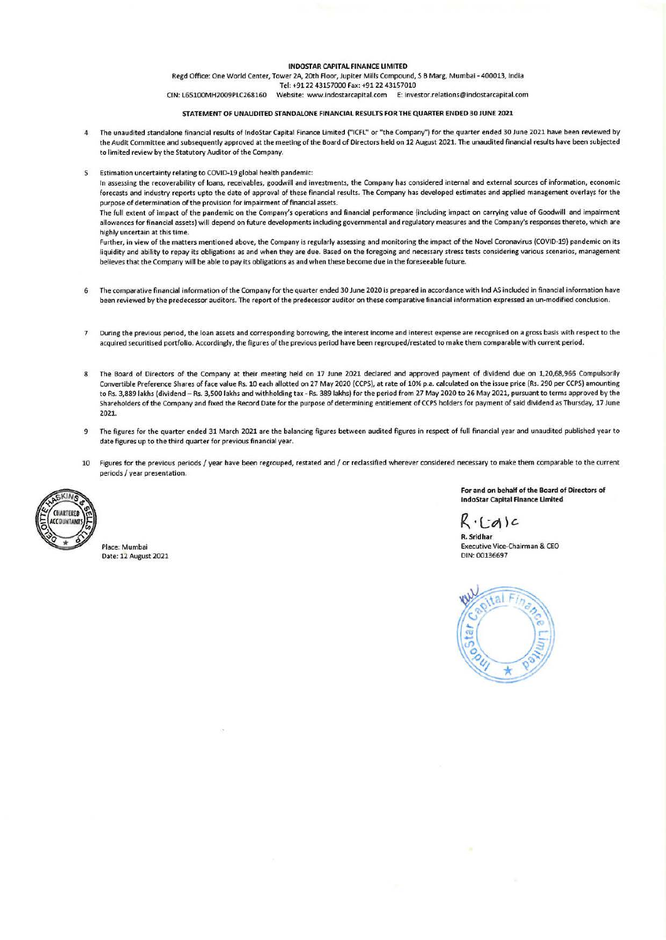#### INOOSTAR CAPITAL FINANCE LIMITED

Regd Office: One World Center, Tower 2A, 20th Floor, Jupiter Mills Compound, SB Marg, Mumbai -400013, India Tel: +9122 43157000 Fax: +912243157010

CIN: L65100MH2009PLC268160 Website: www.indostarcapltal.com E: lnvestor.relations@lndostarcapltal.com

#### STATEMENT OF UNAUDITED STANDALONE FINANOAL RESULTS FOR THE QUARTER ENDED 30JUNE 2021

- 4 The unaudited standalone financial results of lndoStar Capital Finance Limited ("ICFL" or "the Company") for the quarter ended 30 June 2021 have been reviewed by the Audit Committee and subsequently approved at the meeting of the Board of Directors held on 12 August 2021. The unaudited financial results have been subjected to limited review by the Statutory Auditor of the Company.
- Estimation uncertainty relating to COVID-19 global health pandemic:

In assessing the recoverability of loans, receivables, goodwill and investments, the Company has considered internal and external sources of information, economic forecasts and industry reports upto the date of approval of these financial results. The Company has developed estimates and applied management overlays for the purpose of determination of the provision for impairment of financial assets.

The full extent of impact of the pandemic on the Company's operations and financial performance (Including impact on carrying value of Goodwill and impairment allowances for financial assets) will depend on future developments induding governmental and regulatory measures and the Company's responses thereto, which are highly uncertain at this time.

Further, in view of the matters mentioned above, the Company is regularly assessing and monitoring the impact of the Novel Coronavirus (COVID-19) pandemic on its liquidity and ability to repay its obligations as and when they are due. Based on the foregoing and necessary stress tests considering various scenarios, management believes that the Company will be able to pay its obligations as and when these become due in the foreseeable future.

- 6 The comparative financial Information of the Company for the quarter ended 30 June 2020 is prepared In accordance with Ind AS induded In financial information have been reviewed by the predecessor auditors. The report of the predecessor auditor on these comparative financial information expressed an un-modlfied conclusion.
- 7 During the previous period, the loan assets and corresponding borrowing, the interest income and interest expense are recognised on a gross basis with respect to the acquired securitised portfolio. Accordingly, the figures of the previous period have been regrouped/restated to make them comparable with current period.
- 8 The Board of Directors of the Company at their meeting held on 17 June 2021 declared and approved payment of dividend due on 1,20,68,966 Compulsorily Convertible Preference Shares of face value Rs. 10 each allotted on 27 May 2020 (CCPS), at rate of 10% p.a. calculated on the issue price (Rs. 290 per CCPS) amounting to Rs. 3,889 lakhs (dividend - Rs. 3,500 lakhs and withholding tax - Rs. 389 lakhs) for the period from 27 May 2020 to 26 May 2021, pursuant to terms approved by the Shareholders of the Company and fixed the Record Date for the purpose of determining entitlement of CCPS holders for payment of said dividend as Thursday, 17 June 2021.
- 9 The figures for the quarter ended 31 March 2021 are the balancing figures between audited figures in respect of full financial year and unaudited published year to date figures up to the third quarter for previous financial year.
- 10 Figures for the previous periods/ year have been regrouped, restated and/ or reclassified wherever considered necessary to make them comparable to the current periods/ year presentation.



**Place: Mumbai**  Date: 12 August 2021 **For and on behalf of the Board of Directors of lndoStar capital Finance limited** 

 $R \cdot (id)$ c

II.. **Sridhar**  Executive Vice-Chairman & CEO DIN: 00136697

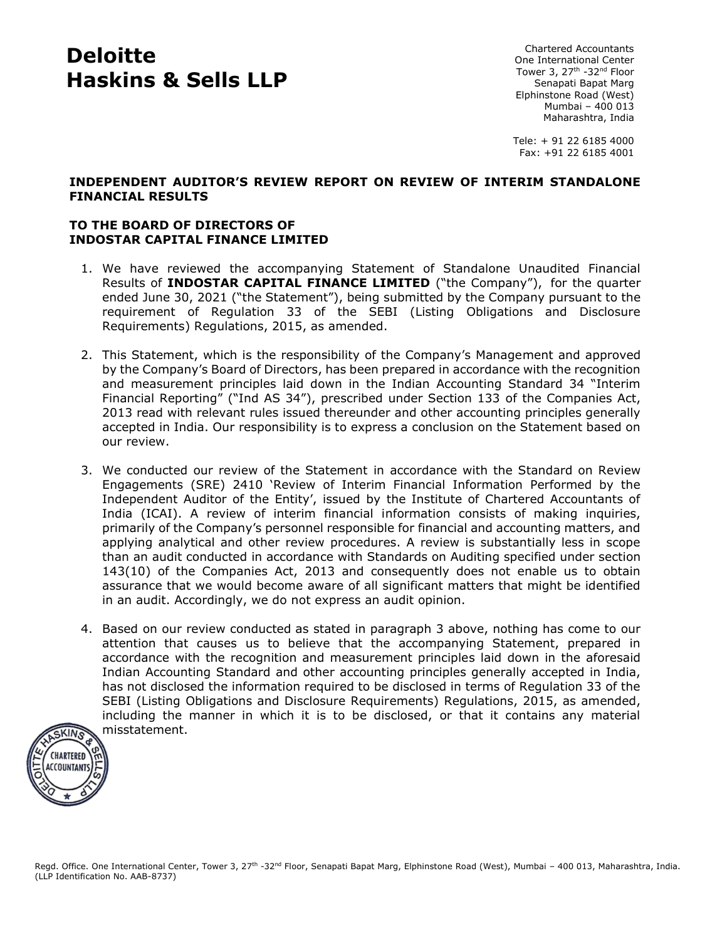# **Deloitte Haskins & Sells LLP**

Chartered Accountants One International Center Tower 3, 27<sup>th</sup> -32<sup>nd</sup> Floor Senapati Bapat Marg Elphinstone Road (West) Mumbai – 400 013 Maharashtra, India

Tele: + 91 22 6185 4000 Fax: +91 22 6185 4001

### **INDEPENDENT AUDITOR'S REVIEW REPORT ON REVIEW OF INTERIM STANDALONE FINANCIAL RESULTS**

## **TO THE BOARD OF DIRECTORS OF INDOSTAR CAPITAL FINANCE LIMITED**

- 1. We have reviewed the accompanying Statement of Standalone Unaudited Financial Results of **INDOSTAR CAPITAL FINANCE LIMITED** ("the Company"), for the quarter ended June 30, 2021 ("the Statement"), being submitted by the Company pursuant to the requirement of Regulation 33 of the SEBI (Listing Obligations and Disclosure Requirements) Regulations, 2015, as amended.
- 2. This Statement, which is the responsibility of the Company's Management and approved by the Company's Board of Directors, has been prepared in accordance with the recognition and measurement principles laid down in the Indian Accounting Standard 34 "Interim Financial Reporting" ("Ind AS 34"), prescribed under Section 133 of the Companies Act, 2013 read with relevant rules issued thereunder and other accounting principles generally accepted in India. Our responsibility is to express a conclusion on the Statement based on our review.
- 3. We conducted our review of the Statement in accordance with the Standard on Review Engagements (SRE) 2410 'Review of Interim Financial Information Performed by the Independent Auditor of the Entity', issued by the Institute of Chartered Accountants of India (ICAI). A review of interim financial information consists of making inquiries, primarily of the Company's personnel responsible for financial and accounting matters, and applying analytical and other review procedures. A review is substantially less in scope than an audit conducted in accordance with Standards on Auditing specified under section 143(10) of the Companies Act, 2013 and consequently does not enable us to obtain assurance that we would become aware of all significant matters that might be identified in an audit. Accordingly, we do not express an audit opinion.
- 4. Based on our review conducted as stated in paragraph 3 above, nothing has come to our attention that causes us to believe that the accompanying Statement, prepared in accordance with the recognition and measurement principles laid down in the aforesaid Indian Accounting Standard and other accounting principles generally accepted in India, has not disclosed the information required to be disclosed in terms of Regulation 33 of the SEBI (Listing Obligations and Disclosure Requirements) Regulations, 2015, as amended, including the manner in which it is to be disclosed, or that it contains any material misstatement.